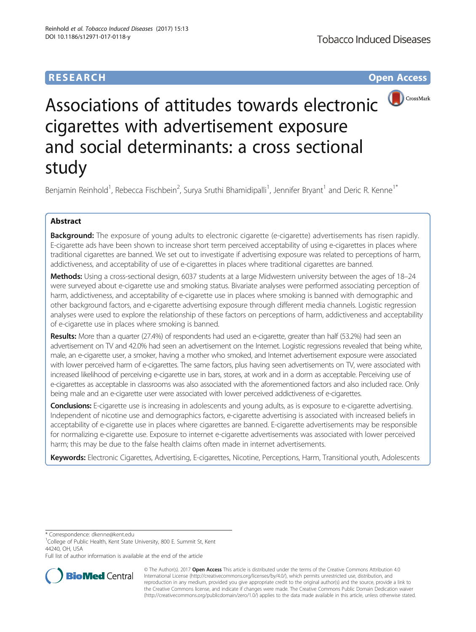# **RESEARCH CHE Open Access**



# Associations of attitudes towards electronic cigarettes with advertisement exposure and social determinants: a cross sectional study

Benjamin Reinhold<sup>1</sup>, Rebecca Fischbein<sup>2</sup>, Surya Sruthi Bhamidipalli<sup>1</sup>, Jennifer Bryant<sup>1</sup> and Deric R. Kenne<sup>1\*</sup>

# Abstract

Background: The exposure of young adults to electronic cigarette (e-cigarette) advertisements has risen rapidly. E-cigarette ads have been shown to increase short term perceived acceptability of using e-cigarettes in places where traditional cigarettes are banned. We set out to investigate if advertising exposure was related to perceptions of harm, addictiveness, and acceptability of use of e-cigarettes in places where traditional cigarettes are banned.

Methods: Using a cross-sectional design, 6037 students at a large Midwestern university between the ages of 18–24 were surveyed about e-cigarette use and smoking status. Bivariate analyses were performed associating perception of harm, addictiveness, and acceptability of e-cigarette use in places where smoking is banned with demographic and other background factors, and e-cigarette advertising exposure through different media channels. Logistic regression analyses were used to explore the relationship of these factors on perceptions of harm, addictiveness and acceptability of e-cigarette use in places where smoking is banned.

Results: More than a quarter (27.4%) of respondents had used an e-cigarette, greater than half (53.2%) had seen an advertisement on TV and 42.0% had seen an advertisement on the Internet. Logistic regressions revealed that being white, male, an e-cigarette user, a smoker, having a mother who smoked, and Internet advertisement exposure were associated with lower perceived harm of e-cigarettes. The same factors, plus having seen advertisements on TV, were associated with increased likelihood of perceiving e-cigarette use in bars, stores, at work and in a dorm as acceptable. Perceiving use of e-cigarettes as acceptable in classrooms was also associated with the aforementioned factors and also included race. Only being male and an e-cigarette user were associated with lower perceived addictiveness of e-cigarettes.

Conclusions: E-cigarette use is increasing in adolescents and young adults, as is exposure to e-cigarette advertising. Independent of nicotine use and demographics factors, e-cigarette advertising is associated with increased beliefs in acceptability of e-cigarette use in places where cigarettes are banned. E-cigarette advertisements may be responsible for normalizing e-cigarette use. Exposure to internet e-cigarette advertisements was associated with lower perceived harm; this may be due to the false health claims often made in internet advertisements.

Keywords: Electronic Cigarettes, Advertising, E-cigarettes, Nicotine, Perceptions, Harm, Transitional youth, Adolescents

\* Correspondence: [dkenne@kent.edu](mailto:dkenne@kent.edu) <sup>1</sup>

Full list of author information is available at the end of the article



© The Author(s). 2017 **Open Access** This article is distributed under the terms of the Creative Commons Attribution 4.0 International License [\(http://creativecommons.org/licenses/by/4.0/](http://creativecommons.org/licenses/by/4.0/)), which permits unrestricted use, distribution, and reproduction in any medium, provided you give appropriate credit to the original author(s) and the source, provide a link to the Creative Commons license, and indicate if changes were made. The Creative Commons Public Domain Dedication waiver [\(http://creativecommons.org/publicdomain/zero/1.0/](http://creativecommons.org/publicdomain/zero/1.0/)) applies to the data made available in this article, unless otherwise stated.

<sup>&</sup>lt;sup>1</sup>College of Public Health, Kent State University, 800 E. Summit St, Kent 44240, OH, USA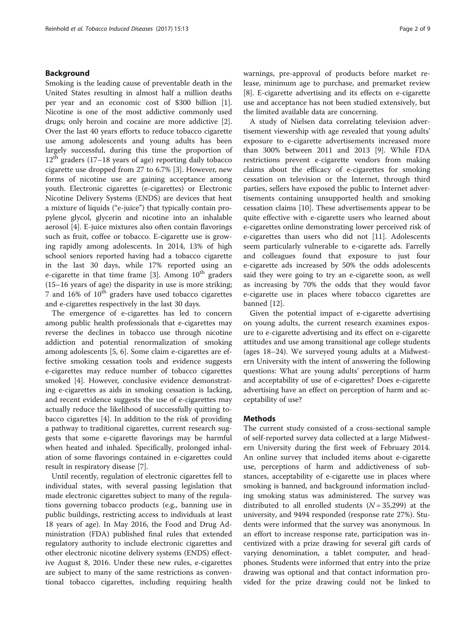# Background

Smoking is the leading cause of preventable death in the United States resulting in almost half a million deaths per year and an economic cost of \$300 billion [\[1](#page-8-0)]. Nicotine is one of the most addictive commonly used drugs; only heroin and cocaine are more addictive [\[2](#page-8-0)]. Over the last 40 years efforts to reduce tobacco cigarette use among adolescents and young adults has been largely successful, during this time the proportion of  $12<sup>th</sup>$  graders (17–18 years of age) reporting daily tobacco cigarette use dropped from 27 to 6.7% [[3\]](#page-8-0). However, new forms of nicotine use are gaining acceptance among youth. Electronic cigarettes (e-cigarettes) or Electronic Nicotine Delivery Systems (ENDS) are devices that heat a mixture of liquids ("e-juice") that typically contain propylene glycol, glycerin and nicotine into an inhalable aerosol [[4\]](#page-8-0). E-juice mixtures also often contain flavorings such as fruit, coffee or tobacco. E-cigarette use is growing rapidly among adolescents. In 2014, 13% of high school seniors reported having had a tobacco cigarette in the last 30 days, while 17% reported using an e-cigarette in that time frame [[3\]](#page-8-0). Among  $10<sup>th</sup>$  graders (15–16 years of age) the disparity in use is more striking; 7 and  $16\%$  of  $10<sup>th</sup>$  graders have used tobacco cigarettes and e-cigarettes respectively in the last 30 days.

The emergence of e-cigarettes has led to concern among public health professionals that e-cigarettes may reverse the declines in tobacco use through nicotine addiction and potential renormalization of smoking among adolescents [\[5](#page-8-0), [6](#page-8-0)]. Some claim e-cigarettes are effective smoking cessation tools and evidence suggests e-cigarettes may reduce number of tobacco cigarettes smoked [\[4\]](#page-8-0). However, conclusive evidence demonstrating e-cigarettes as aids in smoking cessation is lacking, and recent evidence suggests the use of e-cigarettes may actually reduce the likelihood of successfully quitting tobacco cigarettes [\[4](#page-8-0)]. In addition to the risk of providing a pathway to traditional cigarettes, current research suggests that some e-cigarette flavorings may be harmful when heated and inhaled. Specifically, prolonged inhalation of some flavorings contained in e-cigarettes could result in respiratory disease [\[7](#page-8-0)].

Until recently, regulation of electronic cigarettes fell to individual states, with several passing legislation that made electronic cigarettes subject to many of the regulations governing tobacco products (e.g., banning use in public buildings, restricting access to individuals at least 18 years of age). In May 2016, the Food and Drug Administration (FDA) published final rules that extended regulatory authority to include electronic cigarettes and other electronic nicotine delivery systems (ENDS) effective August 8, 2016. Under these new rules, e-cigarettes are subject to many of the same restrictions as conventional tobacco cigarettes, including requiring health warnings, pre-approval of products before market release, minimum age to purchase, and premarket review [[8\]](#page-8-0). E-cigarette advertising and its effects on e-cigarette use and acceptance has not been studied extensively, but the limited available data are concerning.

A study of Nielsen data correlating television advertisement viewership with age revealed that young adults' exposure to e-cigarette advertisements increased more than 300% between 2011 and 2013 [\[9](#page-8-0)]. While FDA restrictions prevent e-cigarette vendors from making claims about the efficacy of e-cigarettes for smoking cessation on television or the Internet, through third parties, sellers have exposed the public to Internet advertisements containing unsupported health and smoking cessation claims [\[10\]](#page-8-0). These advertisements appear to be quite effective with e-cigarette users who learned about e-cigarettes online demonstrating lower perceived risk of e-cigarettes than users who did not [[11\]](#page-8-0). Adolescents seem particularly vulnerable to e-cigarette ads. Farrelly and colleagues found that exposure to just four e-cigarette ads increased by 50% the odds adolescents said they were going to try an e-cigarette soon, as well as increasing by 70% the odds that they would favor e-cigarette use in places where tobacco cigarettes are banned [[12\]](#page-8-0).

Given the potential impact of e-cigarette advertising on young adults, the current research examines exposure to e-cigarette advertising and its effect on e-cigarette attitudes and use among transitional age college students (ages 18–24). We surveyed young adults at a Midwestern University with the intent of answering the following questions: What are young adults' perceptions of harm and acceptability of use of e-cigarettes? Does e-cigarette advertising have an effect on perception of harm and acceptability of use?

# Methods

The current study consisted of a cross-sectional sample of self-reported survey data collected at a large Midwestern University during the first week of February 2014. An online survey that included items about e-cigarette use, perceptions of harm and addictiveness of substances, acceptability of e-cigarette use in places where smoking is banned, and background information including smoking status was administered. The survey was distributed to all enrolled students  $(N = 35,299)$  at the university, and 9494 responded (response rate 27%). Students were informed that the survey was anonymous. In an effort to increase response rate, participation was incentivized with a prize drawing for several gift cards of varying denomination, a tablet computer, and headphones. Students were informed that entry into the prize drawing was optional and that contact information provided for the prize drawing could not be linked to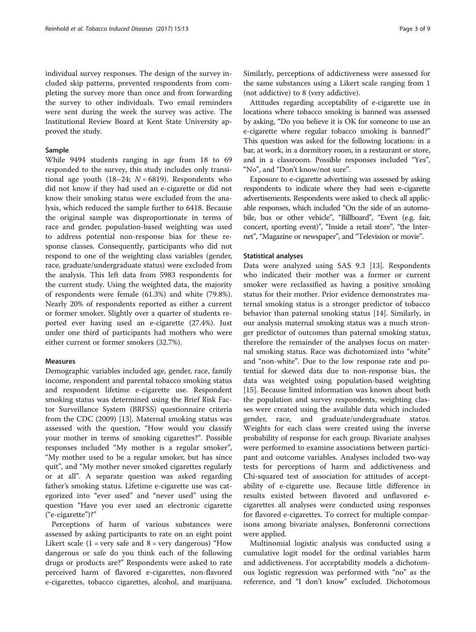individual survey responses. The design of the survey included skip patterns, prevented respondents from completing the survey more than once and from forwarding the survey to other individuals. Two email reminders were sent during the week the survey was active. The Institutional Review Board at Kent State University approved the study.

# Sample

While 9494 students ranging in age from 18 to 69 responded to the survey, this study includes only transitional age youth  $(18–24; N = 6819)$ . Respondents who did not know if they had used an e-cigarette or did not know their smoking status were excluded from the analysis, which reduced the sample further to 6418. Because the original sample was disproportionate in terms of race and gender, population-based weighting was used to address potential non-response bias for these response classes. Consequently, participants who did not respond to one of the weighting class variables (gender, race, graduate/undergraduate status) were excluded from the analysis. This left data from 5983 respondents for the current study. Using the weighted data, the majority of respondents were female (61.3%) and white (79.8%). Nearly 20% of respondents reported as either a current or former smoker. Slightly over a quarter of students reported ever having used an e-cigarette (27.4%). Just under one third of participants had mothers who were either current or former smokers (32.7%).

# Measures

Demographic variables included age, gender, race, family income, respondent and parental tobacco smoking status and respondent lifetime e-cigarette use. Respondent smoking status was determined using the Brief Risk Factor Surveillance System (BRFSS) questionnaire criteria from the CDC (2009) [\[13\]](#page-8-0). Maternal smoking status was assessed with the question, "How would you classify your mother in terms of smoking cigarettes?". Possible responses included "My mother is a regular smoker", "My mother used to be a regular smoker, but has since quit", and "My mother never smoked cigarettes regularly or at all". A separate question was asked regarding father's smoking status. Lifetime e-cigarette use was categorized into "ever used" and "never used" using the question "Have you ever used an electronic cigarette ("e-cigarette")?"

Perceptions of harm of various substances were assessed by asking participants to rate on an eight point Likert scale  $(1 = \text{very safe and } 8 = \text{very dangerous})$  "How dangerous or safe do you think each of the following drugs or products are?" Respondents were asked to rate perceived harm of flavored e-cigarettes, non-flavored e-cigarettes, tobacco cigarettes, alcohol, and marijuana. Similarly, perceptions of addictiveness were assessed for the same substances using a Likert scale ranging from 1 (not addictive) to 8 (very addictive).

Attitudes regarding acceptability of e-cigarette use in locations where tobacco smoking is banned was assessed by asking, "Do you believe it is OK for someone to use an e-cigarette where regular tobacco smoking is banned?" This question was asked for the following locations: in a bar, at work, in a dormitory room, in a restaurant or store, and in a classroom. Possible responses included "Yes", "No", and "Don't know/not sure".

Exposure to e-cigarette advertising was assessed by asking respondents to indicate where they had seen e-cigarette advertisements. Respondents were asked to check all applicable responses, which included "On the side of an automobile, bus or other vehicle", "Billboard", "Event (e.g. fair, concert, sporting event)", "Inside a retail store", "the Internet", "Magazine or newspaper", and "Television or movie".

## Statistical analyses

Data were analyzed using SAS 9.3 [[13\]](#page-8-0). Respondents who indicated their mother was a former or current smoker were reclassified as having a positive smoking status for their mother. Prior evidence demonstrates maternal smoking status is a stronger predictor of tobacco behavior than paternal smoking status [\[14](#page-8-0)]. Similarly, in our analysis maternal smoking status was a much stronger predictor of outcomes than paternal smoking status, therefore the remainder of the analyses focus on maternal smoking status. Race was dichotomized into "white" and "non-white". Due to the low response rate and potential for skewed data due to non-response bias, the data was weighted using population-based weighting [[15\]](#page-8-0). Because limited information was known about both the population and survey respondents, weighting classes were created using the available data which included gender, race, and graduate/undergraduate status. Weights for each class were created using the inverse probability of response for each group. Bivariate analyses were performed to examine associations between participant and outcome variables. Analyses included two-way tests for perceptions of harm and addictiveness and Chi-squared test of association for attitudes of acceptability of e-cigarette use. Because little difference in results existed between flavored and unflavored ecigarettes all analyses were conducted using responses for flavored e-cigarettes. To correct for multiple comparisons among bivariate analyses, Bonferonni corrections were applied.

Multinomial logistic analysis was conducted using a cumulative logit model for the ordinal variables harm and addictiveness. For acceptability models a dichotomous logistic regression was performed with "no" as the reference, and "I don't know" excluded. Dichotomous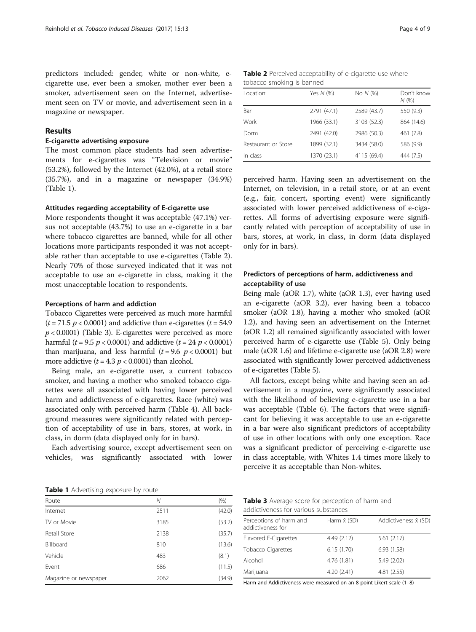predictors included: gender, white or non-white, ecigarette use, ever been a smoker, mother ever been a smoker, advertisement seen on the Internet, advertisement seen on TV or movie, and advertisement seen in a magazine or newspaper.

# Results

## E-cigarette advertising exposure

The most common place students had seen advertisements for e-cigarettes was "Television or movie" (53.2%), followed by the Internet (42.0%), at a retail store (35.7%), and in a magazine or newspaper (34.9%) (Table 1).

# Attitudes regarding acceptability of E-cigarette use

More respondents thought it was acceptable (47.1%) versus not acceptable (43.7%) to use an e-cigarette in a bar where tobacco cigarettes are banned, while for all other locations more participants responded it was not acceptable rather than acceptable to use e-cigarettes (Table 2). Nearly 70% of those surveyed indicated that it was not acceptable to use an e-cigarette in class, making it the most unacceptable location to respondents.

#### Perceptions of harm and addiction

Tobacco Cigarettes were perceived as much more harmful  $(t = 71.5 \, p < 0.0001)$  and addictive than e-cigarettes  $(t = 54.9$  $p < 0.0001$ ) (Table 3). E-cigarettes were perceived as more harmful ( $t = 9.5$   $p < 0.0001$ ) and addictive ( $t = 24$   $p < 0.0001$ ) than marijuana, and less harmful ( $t = 9.6$   $p < 0.0001$ ) but more addictive  $(t = 4.3 \, p < 0.0001)$  than alcohol.

Being male, an e-cigarette user, a current tobacco smoker, and having a mother who smoked tobacco cigarettes were all associated with having lower perceived harm and addictiveness of e-cigarettes. Race (white) was associated only with perceived harm (Table [4](#page-4-0)). All background measures were significantly related with perception of acceptability of use in bars, stores, at work, in class, in dorm (data displayed only for in bars).

Each advertising source, except advertisement seen on vehicles, was significantly associated with lower

**Table 1** Advertising exposure by route

| Route                 | Ν    | (% )   |
|-----------------------|------|--------|
| Internet              | 2511 | (42.0) |
| TV or Movie           | 3185 | (53.2) |
| Retail Store          | 2138 | (35.7) |
| Billboard             | 810  | (13.6) |
| Vehicle               | 483  | (8.1)  |
| Event                 | 686  | (11.5) |
| Magazine or newspaper | 2062 | (34.9) |

Table 2 Perceived acceptability of e-cigarette use where tobacco smoking is banned

| Location:           | Yes N (%)   | No $N$ (%)  | Don't know<br>N(% |
|---------------------|-------------|-------------|-------------------|
| Bar                 | 2791 (47.1) | 2589 (43.7) | 550 (9.3)         |
| Work                | 1966 (33.1) | 3103 (52.3) | 864 (14.6)        |
| Dorm                | 2491 (42.0) | 2986 (50.3) | 461 (7.8)         |
| Restaurant or Store | 1899 (32.1) | 3434 (58.0) | 586 (9.9)         |
| In class            | 1370 (23.1) | 4115 (69.4) | 444 (7.5)         |

perceived harm. Having seen an advertisement on the Internet, on television, in a retail store, or at an event (e.g., fair, concert, sporting event) were significantly associated with lower perceived addictiveness of e-cigarettes. All forms of advertising exposure were significantly related with perception of acceptability of use in bars, stores, at work, in class, in dorm (data displayed only for in bars).

# Predictors of perceptions of harm, addictiveness and acceptability of use

Being male (aOR 1.7), white (aOR 1.3), ever having used an e-cigarette (aOR 3.2), ever having been a tobacco smoker (aOR 1.8), having a mother who smoked (aOR 1.2), and having seen an advertisement on the Internet (aOR 1.2) all remained significantly associated with lower perceived harm of e-cigarette use (Table [5](#page-5-0)). Only being male (aOR 1.6) and lifetime e-cigarette use (aOR 2.8) were associated with significantly lower perceived addictiveness of e-cigarettes (Table [5\)](#page-5-0).

All factors, except being white and having seen an advertisement in a magazine, were significantly associated with the likelihood of believing e-cigarette use in a bar was acceptable (Table [6](#page-6-0)). The factors that were significant for believing it was acceptable to use an e-cigarette in a bar were also significant predictors of acceptability of use in other locations with only one exception. Race was a significant predictor of perceiving e-cigarette use in class acceptable, with Whites 1.4 times more likely to perceive it as acceptable than Non-whites.

| Table 3 Average score for perception of harm and |  |  |  |
|--------------------------------------------------|--|--|--|
| addictiveness for various substances             |  |  |  |

| Perceptions of harm and<br>addictiveness for | Harm $\bar{x}$ (SD) | Addictiveness x (SD) |
|----------------------------------------------|---------------------|----------------------|
| Flavored E-Cigarettes                        | 4.49(2.12)          | 5.61(2.17)           |
| Tobacco Cigarettes                           | 6.15(1.70)          | 6.93(1.58)           |
| Alcohol                                      | 4.76 (1.81)         | 5.49 (2.02)          |
| Marijuana                                    | 4.20(2.41)          | 4.81(2.55)           |

Harm and Addictiveness were measured on an 8-point Likert scale (1–8)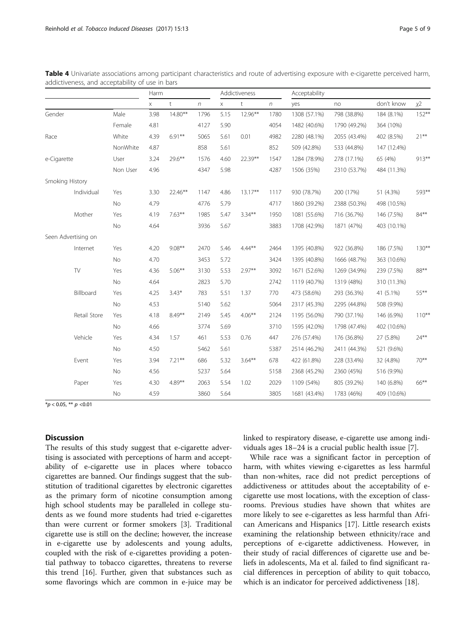|                     |           | Harm |           |                  |      | Addictiveness |                  | Acceptability |              |             |          |
|---------------------|-----------|------|-----------|------------------|------|---------------|------------------|---------------|--------------|-------------|----------|
|                     |           | X    | t         | $\boldsymbol{n}$ | X    | t             | $\boldsymbol{n}$ | yes           | no           | don't know  | $\chi2$  |
| Gender              | Male      | 3.98 | $14.80**$ | 1796             | 5.15 | 12.96**       | 1780             | 1308 (57.1%)  | 798 (38.8%)  | 184 (8.1%)  | $152***$ |
|                     | Female    | 4.81 |           | 4127             | 5.90 |               | 4054             | 1482 (40.6%)  | 1790 (49.2%) | 364 (10%)   |          |
| Race                | White     | 4.39 | $6.91***$ | 5065             | 5.61 | 0.01          | 4982             | 2280 (48.1%)  | 2055 (43.4%) | 402 (8.5%)  | $21***$  |
|                     | NonWhite  | 4.87 |           | 858              | 5.61 |               | 852              | 509 (42.8%)   | 533 (44.8%)  | 147 (12.4%) |          |
| e-Cigarette         | User      | 3.24 | $29.6***$ | 1576             | 4.60 | 22.39**       | 1547             | 1284 (78.9%)  | 278 (17.1%)  | 65 (4%)     | $913***$ |
|                     | Non User  | 4.96 |           | 4347             | 5.98 |               | 4287             | 1506 (35%)    | 2310 (53.7%) | 484 (11.3%) |          |
| Smoking History     |           |      |           |                  |      |               |                  |               |              |             |          |
| Individual          | Yes       | 3.30 | 22.46**   | 1147             | 4.86 | $13.17***$    | 1117             | 930 (78.7%)   | 200 (17%)    | 51 (4.3%)   | 593**    |
|                     | <b>No</b> | 4.79 |           | 4776             | 5.79 |               | 4717             | 1860 (39.2%)  | 2388 (50.3%) | 498 (10.5%) |          |
| Mother              | Yes       | 4.19 | $7.63**$  | 1985             | 5.47 | $3.34***$     | 1950             | 1081 (55.6%)  | 716 (36.7%)  | 146 (7.5%)  | $84***$  |
|                     | No        | 4.64 |           | 3936             | 5.67 |               | 3883             | 1708 (42.9%)  | 1871 (47%)   | 403 (10.1%) |          |
| Seen Advertising on |           |      |           |                  |      |               |                  |               |              |             |          |
| Internet            | Yes       | 4.20 | $9.08**$  | 2470             | 5.46 | $4.44***$     | 2464             | 1395 (40.8%)  | 922 (36.8%)  | 186 (7.5%)  | $130***$ |
|                     | No        | 4.70 |           | 3453             | 5.72 |               | 3424             | 1395 (40.8%)  | 1666 (48.7%) | 363 (10.6%) |          |
| TV                  | Yes       | 4.36 | $5.06**$  | 3130             | 5.53 | $2.97**$      | 3092             | 1671 (52.6%)  | 1269 (34.9%) | 239 (7.5%)  | 88**     |
|                     | <b>No</b> | 4.64 |           | 2823             | 5.70 |               | 2742             | 1119 (40.7%)  | 1319 (48%)   | 310 (11.3%) |          |
| Billboard           | Yes       | 4.25 | $3.43*$   | 783              | 5.51 | 1.37          | 770              | 473 (58.6%)   | 293 (36.3%)  | 41 (5.1%)   | $55***$  |
|                     | No        | 4.53 |           | 5140             | 5.62 |               | 5064             | 2317 (45.3%)  | 2295 (44.8%) | 508 (9.9%)  |          |
| Retail Store        | Yes       | 4.18 | $8.49**$  | 2149             | 5.45 | $4.06***$     | 2124             | 1195 (56.0%)  | 790 (37.1%)  | 146 (6.9%)  | $110***$ |
|                     | No        | 4.66 |           | 3774             | 5.69 |               | 3710             | 1595 (42.0%)  | 1798 (47.4%) | 402 (10.6%) |          |
| Vehicle             | Yes       | 4.34 | 1.57      | 461              | 5.53 | 0.76          | 447              | 276 (57.4%)   | 176 (36.8%)  | 27 (5.8%)   | $24***$  |
|                     | No        | 4.50 |           | 5462             | 5.61 |               | 5387             | 2514 (46.2%)  | 2411 (44.3%) | 521 (9.6%)  |          |
| Event               | Yes       | 3.94 | $7.21***$ | 686              | 5.32 | $3.64***$     | 678              | 422 (61.8%)   | 228 (33.4%)  | 32 (4.8%)   | $70***$  |
|                     | No        | 4.56 |           | 5237             | 5.64 |               | 5158             | 2368 (45.2%)  | 2360 (45%)   | 516 (9.9%)  |          |
| Paper               | Yes       | 4.30 | $4.89**$  | 2063             | 5.54 | 1.02          | 2029             | 1109 (54%)    | 805 (39.2%)  | 140 (6.8%)  | 66**     |
|                     | No        | 4.59 |           | 3860             | 5.64 |               | 3805             | 1681 (43.4%)  | 1783 (46%)   | 409 (10.6%) |          |

<span id="page-4-0"></span>Table 4 Univariate associations among participant characteristics and route of advertising exposure with e-cigarette perceived harm, addictiveness, and acceptability of use in bars

 $*p < 0.05$ ,  $** p < 0.01$ 

# **Discussion**

The results of this study suggest that e-cigarette advertising is associated with perceptions of harm and acceptability of e-cigarette use in places where tobacco cigarettes are banned. Our findings suggest that the substitution of traditional cigarettes by electronic cigarettes as the primary form of nicotine consumption among high school students may be paralleled in college students as we found more students had tried e-cigarettes than were current or former smokers [\[3](#page-8-0)]. Traditional cigarette use is still on the decline; however, the increase in e-cigarette use by adolescents and young adults, coupled with the risk of e-cigarettes providing a potential pathway to tobacco cigarettes, threatens to reverse this trend [\[16\]](#page-8-0). Further, given that substances such as some flavorings which are common in e-juice may be linked to respiratory disease, e-cigarette use among individuals ages 18–24 is a crucial public health issue [[7\]](#page-8-0).

While race was a significant factor in perception of harm, with whites viewing e-cigarettes as less harmful than non-whites, race did not predict perceptions of addictiveness or attitudes about the acceptability of ecigarette use most locations, with the exception of classrooms. Previous studies have shown that whites are more likely to see e-cigarettes as less harmful than African Americans and Hispanics [[17\]](#page-8-0). Little research exists examining the relationship between ethnicity/race and perceptions of e-cigarette addictiveness. However, in their study of racial differences of cigarette use and beliefs in adolescents, Ma et al. failed to find significant racial differences in perception of ability to quit tobacco, which is an indicator for perceived addictiveness [[18\]](#page-8-0).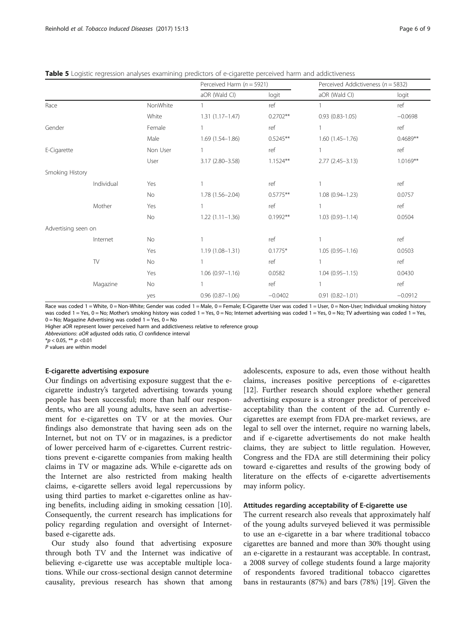|                     |            |          | Perceived Harm $(n = 5921)$ |            | Perceived Addictiveness ( $n = 5832$ ) |            |
|---------------------|------------|----------|-----------------------------|------------|----------------------------------------|------------|
|                     |            |          | aOR (Wald CI)               | logit      | aOR (Wald CI)                          | logit      |
| Race                |            | NonWhite | 1                           | ref        |                                        | ref        |
|                     |            | White    | $1.31(1.17 - 1.47)$         | $0.2702**$ | $0.93(0.83 - 1.05)$                    | $-0.0698$  |
| Gender              |            | Female   | 1                           | ref        |                                        | ref        |
|                     |            | Male     | $1.69(1.54 - 1.86)$         | $0.5245**$ | $1.60(1.45 - 1.76)$                    | $0.4689**$ |
| E-Cigarette         |            | Non User | 1                           | ref        |                                        | ref        |
|                     |            | User     | 3.17 (2.80-3.58)            | $1.1524**$ | $2.77(2.45-3.13)$                      | 1.0169**   |
| Smoking History     |            |          |                             |            |                                        |            |
|                     | Individual | Yes      | 1                           | ref        |                                        | ref        |
|                     |            | No       | 1.78 (1.56-2.04)            | $0.5775**$ | $1.08(0.94 - 1.23)$                    | 0.0757     |
|                     | Mother     | Yes      | $\mathbf{1}$                | ref        |                                        | ref        |
|                     |            | No       | $1.22(1.11 - 1.36)$         | $0.1992**$ | $1.03(0.93 - 1.14)$                    | 0.0504     |
| Advertising seen on |            |          |                             |            |                                        |            |
|                     | Internet   | No       | 1                           | ref        |                                        | ref        |
|                     |            | Yes      | $1.19(1.08 - 1.31)$         | $0.1775*$  | $1.05(0.95 - 1.16)$                    | 0.0503     |
|                     | TV         | No       | 1                           | ref        |                                        | ref        |
|                     |            | Yes      | $1.06(0.97 - 1.16)$         | 0.0582     | $1.04(0.95 - 1.15)$                    | 0.0430     |
|                     | Magazine   | No       | 1                           | ref        |                                        | ref        |
|                     |            | yes      | $0.96$ $(0.87 - 1.06)$      | $-0.0402$  | $0.91(0.82 - 1.01)$                    | $-0.0912$  |

<span id="page-5-0"></span>Table 5 Logistic regression analyses examining predictors of e-cigarette perceived harm and addictiveness

Race was coded 1 = White, 0 = Non-White; Gender was coded 1 = Male, 0 = Female; E-Cigarette User was coded 1 = User, 0 = Non-User; Individual smoking history was coded 1 = Yes, 0 = No; Mother's smoking history was coded 1 = Yes, 0 = No; Internet advertising was coded 1 = Yes, 0 = No; TV advertising was coded 1 = Yes,  $0 = No$ ; Magazine Advertising was coded  $1 = Yes$ ,  $0 = No$ 

Higher aOR represent lower perceived harm and addictiveness relative to reference group

Abbreviations: aOR adjusted odds ratio, CI confidence interval

 $*_{p}$  < 0.05, \*\* p < 0.01

P values are within model

## E-cigarette advertising exposure

Our findings on advertising exposure suggest that the ecigarette industry's targeted advertising towards young people has been successful; more than half our respondents, who are all young adults, have seen an advertisement for e-cigarettes on TV or at the movies. Our findings also demonstrate that having seen ads on the Internet, but not on TV or in magazines, is a predictor of lower perceived harm of e-cigarettes. Current restrictions prevent e-cigarette companies from making health claims in TV or magazine ads. While e-cigarette ads on the Internet are also restricted from making health claims, e-cigarette sellers avoid legal repercussions by using third parties to market e-cigarettes online as having benefits, including aiding in smoking cessation [\[10](#page-8-0)]. Consequently, the current research has implications for policy regarding regulation and oversight of Internetbased e-cigarette ads.

Our study also found that advertising exposure through both TV and the Internet was indicative of believing e-cigarette use was acceptable multiple locations. While our cross-sectional design cannot determine causality, previous research has shown that among adolescents, exposure to ads, even those without health claims, increases positive perceptions of e-cigarettes [[12\]](#page-8-0). Further research should explore whether general advertising exposure is a stronger predictor of perceived acceptability than the content of the ad. Currently ecigarettes are exempt from FDA pre-market reviews, are legal to sell over the internet, require no warning labels, and if e-cigarette advertisements do not make health claims, they are subject to little regulation. However, Congress and the FDA are still determining their policy toward e-cigarettes and results of the growing body of literature on the effects of e-cigarette advertisements may inform policy.

#### Attitudes regarding acceptability of E-cigarette use

The current research also reveals that approximately half of the young adults surveyed believed it was permissible to use an e-cigarette in a bar where traditional tobacco cigarettes are banned and more than 30% thought using an e-cigarette in a restaurant was acceptable. In contrast, a 2008 survey of college students found a large majority of respondents favored traditional tobacco cigarettes bans in restaurants (87%) and bars (78%) [\[19\]](#page-8-0). Given the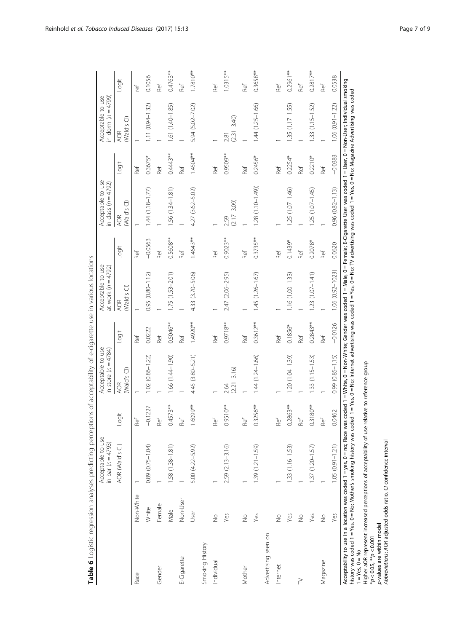<span id="page-6-0"></span>

|                                                                |               | Acceptable to use<br>in bar ( $n = 4793$ )                                                                                                                                                                                                                                                                                                                                                                              |            | Acceptable to use<br>in store $(n = 4784)$ |             | Acceptable to use<br>at work $(n = 4792)$ |             | Acceptable to use<br>in class $(n = 4792)$ |             | Acceptable to use<br>in dorm $(n = 4799)$ |            |
|----------------------------------------------------------------|---------------|-------------------------------------------------------------------------------------------------------------------------------------------------------------------------------------------------------------------------------------------------------------------------------------------------------------------------------------------------------------------------------------------------------------------------|------------|--------------------------------------------|-------------|-------------------------------------------|-------------|--------------------------------------------|-------------|-------------------------------------------|------------|
|                                                                |               | AOR (Wald's CI)                                                                                                                                                                                                                                                                                                                                                                                                         | Logit      | $\widehat{\cup}$<br>Wald's<br>AOR          | Logit       | (Wald's CI)<br><b>AOR</b>                 | Logit       | (Wald's CI)<br>AOR                         | Logit       | €<br>Wald's<br>AOR                        | Logit      |
| Race                                                           | Non-White     |                                                                                                                                                                                                                                                                                                                                                                                                                         | Ref        |                                            | Ref         |                                           | Ref         |                                            | Ref         |                                           | Į          |
|                                                                | White         | 0.89 (0.75-1.04)                                                                                                                                                                                                                                                                                                                                                                                                        | $-0.1227$  | $1.02(0.86 - 1.22)$                        | 0.0222      | $0.95(0.80 - 1.12)$                       | $-0.0563$   | $1.44(1.18 - 1.77)$                        | $0.3675*$   | $.11(0.94 - 1.32)$                        | 0.1056     |
| Gender                                                         | Female        |                                                                                                                                                                                                                                                                                                                                                                                                                         | Ref        |                                            | Ref         |                                           | Ref         |                                            | Ref         |                                           | Ref        |
|                                                                | Male          | 1.58 (1.38-1.81)                                                                                                                                                                                                                                                                                                                                                                                                        | $0.4573**$ | 1.66 (1.44-1.90)                           | 0.5046**    | $1.75(1.53 - 2.01)$                       | $0.5608***$ | 1.56 (1.34-1.81)                           | $0.4443**$  | $1.61(1.40 - 1.85)$                       | $0.4763**$ |
| E-Cigarette                                                    | Non-User      |                                                                                                                                                                                                                                                                                                                                                                                                                         | Ref        |                                            | Ref         |                                           | Ref         |                                            | Ref         |                                           | Ref        |
|                                                                | User          | 5.00 (4.22-5.92)                                                                                                                                                                                                                                                                                                                                                                                                        | 1.6099**   | 4.45 (3.80-5.21)                           | 1.4920**    | 4.33 (3.70-5.06)                          | $1.4643**$  | 4.27 (3.62-5.02)                           | 1.4504**    | 5.94 (5.02-7.02)                          | $1.7810**$ |
| Smoking History                                                |               |                                                                                                                                                                                                                                                                                                                                                                                                                         |            |                                            |             |                                           |             |                                            |             |                                           |            |
| Individual                                                     | $\frac{1}{2}$ |                                                                                                                                                                                                                                                                                                                                                                                                                         | Ref        |                                            | Ref         |                                           | Ref         |                                            | Ref         |                                           | Ref        |
|                                                                | Yes           | 2.59 (2.13-3.16)                                                                                                                                                                                                                                                                                                                                                                                                        | $0.9510**$ | $(2.21 - 3.16)$<br>2.64                    | 0.9718**    | 2.47 (2.06-2.95)                          | $0.9023**$  | $(2.17 - 3.09)$<br>2.59                    | $0.9509***$ | $(2.31 - 3.40)$<br>2.81                   | 1.0315**   |
| Mother                                                         | $\frac{1}{2}$ |                                                                                                                                                                                                                                                                                                                                                                                                                         | Ref        |                                            | Ref         |                                           | Ref         |                                            | Ref         |                                           | Ref        |
|                                                                | Yes           | $1.39(1.21 - 1.59)$                                                                                                                                                                                                                                                                                                                                                                                                     | $0.3256**$ | $1.44$ $(1.24 - 1.66)$                     | $0.3612***$ | $1.45(1.26 - 1.67)$                       | $0.3735**$  | $(0.10 - 1.49)$                            | $0.2456*$   | $1.44$ (1.25-1.66)                        | $0.3658**$ |
| Advertising seen on                                            |               |                                                                                                                                                                                                                                                                                                                                                                                                                         |            |                                            |             |                                           |             |                                            |             |                                           |            |
| Internet                                                       | $\frac{1}{2}$ |                                                                                                                                                                                                                                                                                                                                                                                                                         | Ref        |                                            | Ref         |                                           | Ref         |                                            | Ref         |                                           | Ref        |
|                                                                | Yes           | $1.33(1.16 - 1.53)$                                                                                                                                                                                                                                                                                                                                                                                                     | $0.2863**$ | $1.20(1.04 - 1.39)$                        | $0.1856*$   | $1.16(1.00 - 1.33)$                       | $0.1439*$   | $1.25(1.07 - 1.46)$                        | $0.2254*$   | $1.35(1.17 - 1.55)$                       | $0.2961**$ |
| $\geq$                                                         | $\frac{1}{2}$ |                                                                                                                                                                                                                                                                                                                                                                                                                         | Ref        |                                            | Ref         |                                           | Ref         |                                            | Ref         |                                           | Ref        |
|                                                                | Yes           | $1.37(1.20 - 1.57)$                                                                                                                                                                                                                                                                                                                                                                                                     | $0.3180**$ | $1.33(1.15 - 1.53)$                        | $0.2843**$  | $.23(1.07 - 1.41)$                        | $0.2078*$   | $1.25(1.07 - 1.45)$                        | $0.2210*$   | $1.33(1.15 - 1.52)$                       | $0.2817**$ |
| Magazine                                                       | $\frac{1}{2}$ |                                                                                                                                                                                                                                                                                                                                                                                                                         | Ref        |                                            | Ref         |                                           | Ref         |                                            | Ref         |                                           | Ref        |
|                                                                | Yes           | $1.05(0.91 - 1.21)$                                                                                                                                                                                                                                                                                                                                                                                                     | 0.0462     | $0.99(0.85 - 1.15)$                        | $-0.0126$   | 1.06 (0.92-1023)                          | 0.0620      | $0.96(0.82 - 1.13)$                        | $-0.0383$   | $1.06(0.91 - 1.22)$                       | 0.0538     |
| $1 = Yes, 0 = No$                                              |               | Acceptability to use in a location was coded 1 = yes, 0 = no; Race was coded 1 = White, Gender was coded 1 = Male, 0 = Female; E-Cigarette User was coded 1 = User, 0 = Non-User; Individual smoking<br>history was coded 1 = Yes, 0 = No; Mother's smoking history was coded 1 = Yes, 0 = No; Internet advertising was coded 1 = Yes, 0 = No; TV advertising was coded 1 = Yes, 0 = No; Magazine Advertising was coded |            |                                            |             |                                           |             |                                            |             |                                           |            |
| $*p < 0.05, **p < 0.001$                                       |               | Higher aOR represent increased perceptions of acceptability of use relative to reference group                                                                                                                                                                                                                                                                                                                          |            |                                            |             |                                           |             |                                            |             |                                           |            |
| p-values are within model                                      |               |                                                                                                                                                                                                                                                                                                                                                                                                                         |            |                                            |             |                                           |             |                                            |             |                                           |            |
| Abbreviations: AOR adjusted odds ratio, CI confidence interval |               |                                                                                                                                                                                                                                                                                                                                                                                                                         |            |                                            |             |                                           |             |                                            |             |                                           |            |

Table 6 Logistic regression analyses predicting perceptions of acceptability of e-cigarette use in various locations Table 6 Logistic regression analyses predicting perceptions of acceptability of e-cigarette use in various locations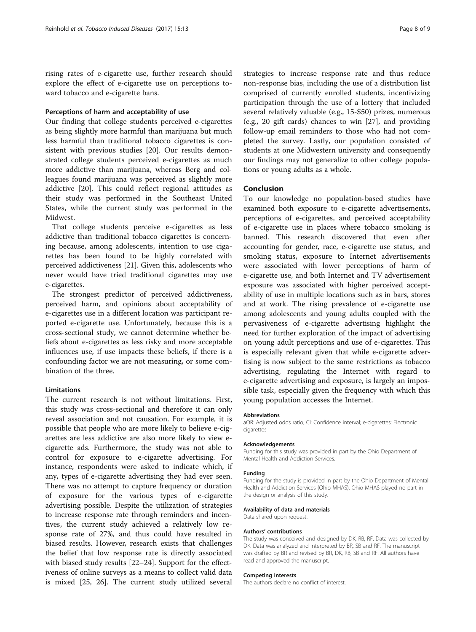rising rates of e-cigarette use, further research should explore the effect of e-cigarette use on perceptions toward tobacco and e-cigarette bans.

# Perceptions of harm and acceptability of use

Our finding that college students perceived e-cigarettes as being slightly more harmful than marijuana but much less harmful than traditional tobacco cigarettes is consistent with previous studies [[20\]](#page-8-0). Our results demonstrated college students perceived e-cigarettes as much more addictive than marijuana, whereas Berg and colleagues found marijuana was perceived as slightly more addictive [\[20](#page-8-0)]. This could reflect regional attitudes as their study was performed in the Southeast United States, while the current study was performed in the Midwest.

That college students perceive e-cigarettes as less addictive than traditional tobacco cigarettes is concerning because, among adolescents, intention to use cigarettes has been found to be highly correlated with perceived addictiveness [\[21](#page-8-0)]. Given this, adolescents who never would have tried traditional cigarettes may use e-cigarettes.

The strongest predictor of perceived addictiveness, perceived harm, and opinions about acceptability of e-cigarettes use in a different location was participant reported e-cigarette use. Unfortunately, because this is a cross-sectional study, we cannot determine whether beliefs about e-cigarettes as less risky and more acceptable influences use, if use impacts these beliefs, if there is a confounding factor we are not measuring, or some combination of the three.

#### Limitations

The current research is not without limitations. First, this study was cross-sectional and therefore it can only reveal association and not causation. For example, it is possible that people who are more likely to believe e-cigarettes are less addictive are also more likely to view ecigarette ads. Furthermore, the study was not able to control for exposure to e-cigarette advertising. For instance, respondents were asked to indicate which, if any, types of e-cigarette advertising they had ever seen. There was no attempt to capture frequency or duration of exposure for the various types of e-cigarette advertising possible. Despite the utilization of strategies to increase response rate through reminders and incentives, the current study achieved a relatively low response rate of 27%, and thus could have resulted in biased results. However, research exists that challenges the belief that low response rate is directly associated with biased study results [\[22](#page-8-0)–[24\]](#page-8-0). Support for the effectiveness of online surveys as a means to collect valid data is mixed [[25, 26](#page-8-0)]. The current study utilized several

strategies to increase response rate and thus reduce non-response bias, including the use of a distribution list comprised of currently enrolled students, incentivizing participation through the use of a lottery that included several relatively valuable (e.g., 15-\$50) prizes, numerous (e.g., 20 gift cards) chances to win [[27](#page-8-0)], and providing follow-up email reminders to those who had not completed the survey. Lastly, our population consisted of students at one Midwestern university and consequently our findings may not generalize to other college populations or young adults as a whole.

#### Conclusion

To our knowledge no population-based studies have examined both exposure to e-cigarette advertisements, perceptions of e-cigarettes, and perceived acceptability of e-cigarette use in places where tobacco smoking is banned. This research discovered that even after accounting for gender, race, e-cigarette use status, and smoking status, exposure to Internet advertisements were associated with lower perceptions of harm of e-cigarette use, and both Internet and TV advertisement exposure was associated with higher perceived acceptability of use in multiple locations such as in bars, stores and at work. The rising prevalence of e-cigarette use among adolescents and young adults coupled with the pervasiveness of e-cigarette advertising highlight the need for further exploration of the impact of advertising on young adult perceptions and use of e-cigarettes. This is especially relevant given that while e-cigarette advertising is now subject to the same restrictions as tobacco advertising, regulating the Internet with regard to e-cigarette advertising and exposure, is largely an impossible task, especially given the frequency with which this young population accesses the Internet.

#### Abbreviations

aOR: Adjusted odds ratio; CI: Confidence interval; e-cigarettes: Electronic cigarettes

#### Acknowledgements

Funding for this study was provided in part by the Ohio Department of Mental Health and Addiction Services.

#### Funding

Funding for the study is provided in part by the Ohio Department of Mental Health and Addiction Services (Ohio MHAS). Ohio MHAS played no part in the design or analysis of this study.

#### Availability of data and materials

Data shared upon request.

#### Authors' contributions

The study was conceived and designed by DK, RB, RF. Data was collected by DK. Data was analyzed and interpreted by BR, SB and RF. The manuscript was drafted by BR and revised by BR, DK, RB, SB and RF. All authors have read and approved the manuscript.

#### Competing interests

The authors declare no conflict of interest.